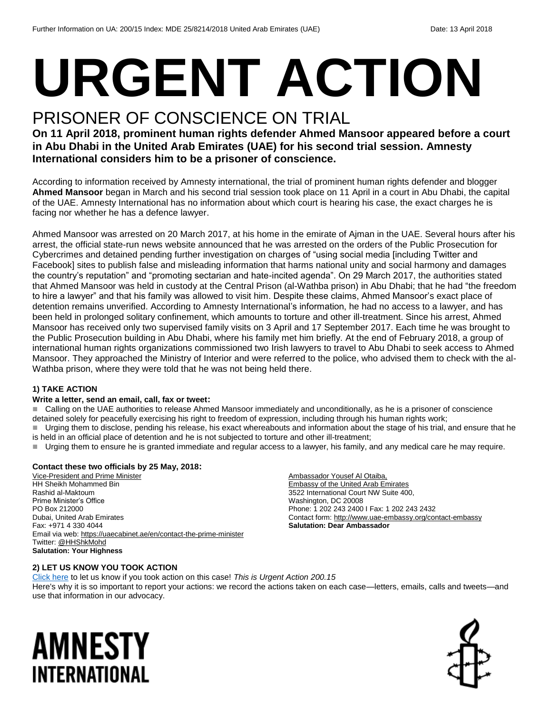# **URGENT ACTION**

## PRISONER OF CONSCIENCE ON TRIAL

**On 11 April 2018, prominent human rights defender Ahmed Mansoor appeared before a court in Abu Dhabi in the United Arab Emirates (UAE) for his second trial session. Amnesty International considers him to be a prisoner of conscience.**

According to information received by Amnesty international, the trial of prominent human rights defender and blogger **Ahmed Mansoor** began in March and his second trial session took place on 11 April in a court in Abu Dhabi, the capital of the UAE. Amnesty International has no information about which court is hearing his case, the exact charges he is facing nor whether he has a defence lawyer.

Ahmed Mansoor was arrested on 20 March 2017, at his home in the emirate of Ajman in the UAE. Several hours after his arrest, the official state-run news website announced that he was arrested on the orders of the Public Prosecution for Cybercrimes and detained pending further investigation on charges of "using social media [including Twitter and Facebook] sites to publish false and misleading information that harms national unity and social harmony and damages the country's reputation" and "promoting sectarian and hate-incited agenda". On 29 March 2017, the authorities stated that Ahmed Mansoor was held in custody at the Central Prison (al-Wathba prison) in Abu Dhabi; that he had "the freedom to hire a lawyer" and that his family was allowed to visit him. Despite these claims, Ahmed Mansoor's exact place of detention remains unverified. According to Amnesty International's information, he had no access to a lawyer, and has been held in prolonged solitary confinement, which amounts to torture and other ill-treatment. Since his arrest, Ahmed Mansoor has received only two supervised family visits on 3 April and 17 September 2017. Each time he was brought to the Public Prosecution building in Abu Dhabi, where his family met him briefly. At the end of February 2018, a group of international human rights organizations commissioned two Irish lawyers to travel to Abu Dhabi to seek access to Ahmed Mansoor. They approached the Ministry of Interior and were referred to the police, who advised them to check with the al-Wathba prison, where they were told that he was not being held there.

#### **1) TAKE ACTION**

#### **Write a letter, send an email, call, fax or tweet:**

■ Calling on the UAE authorities to release Ahmed Mansoor immediately and unconditionally, as he is a prisoner of conscience detained solely for peacefully exercising his right to freedom of expression, including through his human rights work;

 Urging them to disclose, pending his release, his exact whereabouts and information about the stage of his trial, and ensure that he is held in an official place of detention and he is not subjected to torture and other ill-treatment;

Urging them to ensure he is granted immediate and regular access to a lawyer, his family, and any medical care he may require.

#### **Contact these two officials by 25 May, 2018:**

Vice-President and Prime Minister HH Sheikh Mohammed Bin Rashid al-Maktoum Prime Minister's Office PO Box 212000 Dubai, United Arab Emirates Fax: +971 4 330 4044 Email via web:<https://uaecabinet.ae/en/contact-the-prime-minister> Twitter[: @HHShkMohd](file:///C:/Users/iar3team/AppData/Local/Microsoft/Windows/INetCache/Content.Outlook/47QF1R6R/twitter.com/HHShkMohd) **Salutation: Your Highness**

Ambassador Yousef Al Otaiba, Embassy of the United Arab Emirates 3522 International Court NW Suite 400, Washington, DC 20008 Phone: 1 202 243 2400 I Fax: 1 202 243 2432 Contact form[: http://www.uae-embassy.org/contact-embassy](http://www.uae-embassy.org/contact-embassy) **Salutation: Dear Ambassador**

#### **2) LET US KNOW YOU TOOK ACTION**

[Click here](https://www.amnestyusa.org/report-urgent-actions/) to let us know if you took action on this case! *This is Urgent Action 200.15* Here's why it is so important to report your actions: we record the actions taken on each case—letters, emails, calls and tweets—and use that information in our advocacy.

# AMNESTY INTERNATIONAL